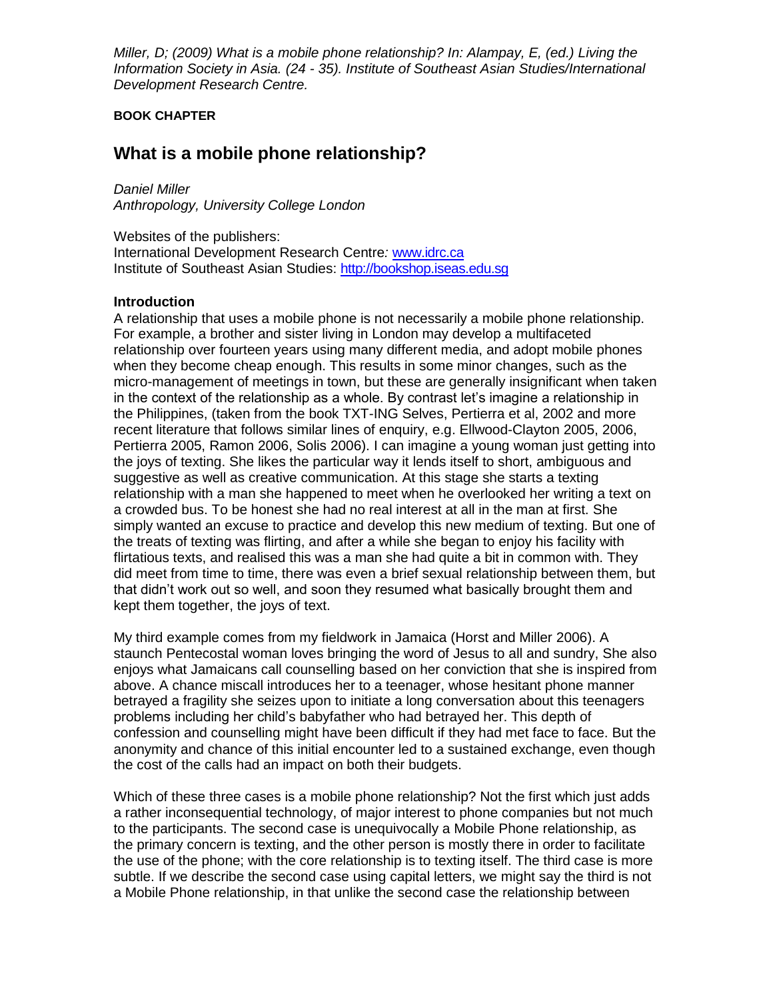*Miller, D; (2009) What is a mobile phone relationship? In: Alampay, E, (ed.) Living the Information Society in Asia. (24 - 35). Institute of Southeast Asian Studies/International Development Research Centre.*

## **BOOK CHAPTER**

# **What is a mobile phone relationship?**

*Daniel Miller Anthropology, University College London*

Websites of the publishers: International Development Research Centre*:* [www.idrc.ca](http://www.idrc.ca/) Institute of Southeast Asian Studies: http:[//bookshop.iseas.edu.sg](http://bookshop.iseas.edu.sg/)

## **Introduction**

A relationship that uses a mobile phone is not necessarily a mobile phone relationship. For example, a brother and sister living in London may develop a multifaceted relationship over fourteen years using many different media, and adopt mobile phones when they become cheap enough. This results in some minor changes, such as the micro-management of meetings in town, but these are generally insignificant when taken in the context of the relationship as a whole. By contrast let's imagine a relationship in the Philippines, (taken from the book TXT-ING Selves, Pertierra et al, 2002 and more recent literature that follows similar lines of enquiry, e.g. Ellwood-Clayton 2005, 2006, Pertierra 2005, Ramon 2006, Solis 2006). I can imagine a young woman just getting into the joys of texting. She likes the particular way it lends itself to short, ambiguous and suggestive as well as creative communication. At this stage she starts a texting relationship with a man she happened to meet when he overlooked her writing a text on a crowded bus. To be honest she had no real interest at all in the man at first. She simply wanted an excuse to practice and develop this new medium of texting. But one of the treats of texting was flirting, and after a while she began to enjoy his facility with flirtatious texts, and realised this was a man she had quite a bit in common with. They did meet from time to time, there was even a brief sexual relationship between them, but that didn't work out so well, and soon they resumed what basically brought them and kept them together, the joys of text.

My third example comes from my fieldwork in Jamaica (Horst and Miller 2006). A staunch Pentecostal woman loves bringing the word of Jesus to all and sundry, She also enjoys what Jamaicans call counselling based on her conviction that she is inspired from above. A chance miscall introduces her to a teenager, whose hesitant phone manner betrayed a fragility she seizes upon to initiate a long conversation about this teenagers problems including her child's babyfather who had betrayed her. This depth of confession and counselling might have been difficult if they had met face to face. But the anonymity and chance of this initial encounter led to a sustained exchange, even though the cost of the calls had an impact on both their budgets.

Which of these three cases is a mobile phone relationship? Not the first which just adds a rather inconsequential technology, of major interest to phone companies but not much to the participants. The second case is unequivocally a Mobile Phone relationship, as the primary concern is texting, and the other person is mostly there in order to facilitate the use of the phone; with the core relationship is to texting itself. The third case is more subtle. If we describe the second case using capital letters, we might say the third is not a Mobile Phone relationship, in that unlike the second case the relationship between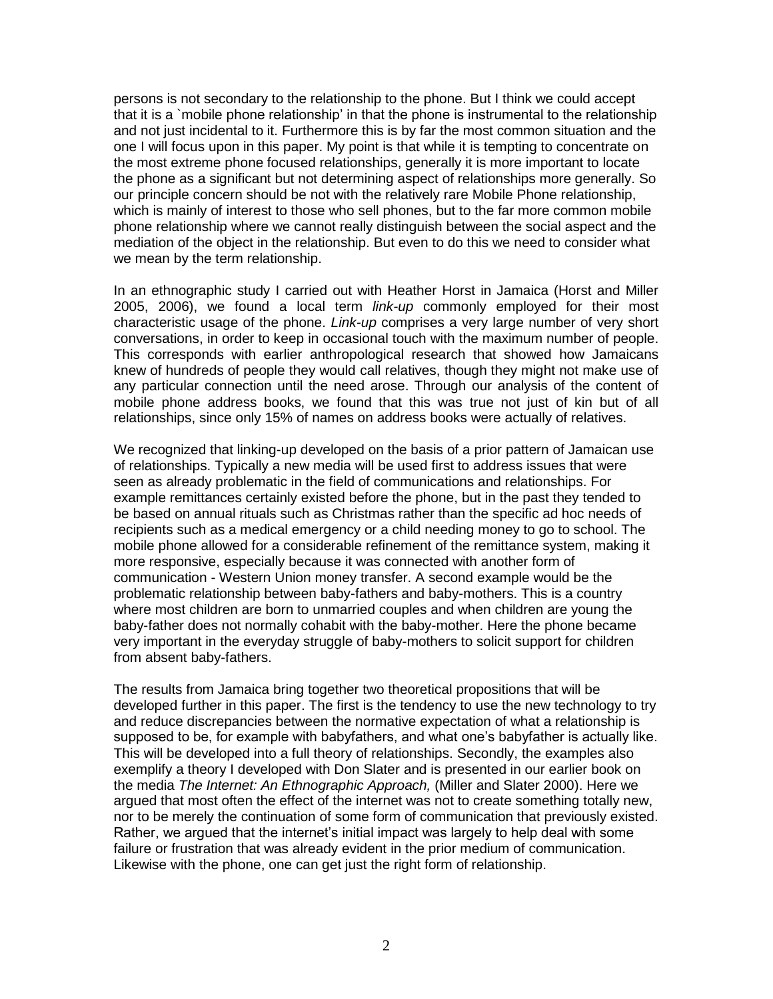persons is not secondary to the relationship to the phone. But I think we could accept that it is a `mobile phone relationship' in that the phone is instrumental to the relationship and not just incidental to it. Furthermore this is by far the most common situation and the one I will focus upon in this paper. My point is that while it is tempting to concentrate on the most extreme phone focused relationships, generally it is more important to locate the phone as a significant but not determining aspect of relationships more generally. So our principle concern should be not with the relatively rare Mobile Phone relationship, which is mainly of interest to those who sell phones, but to the far more common mobile phone relationship where we cannot really distinguish between the social aspect and the mediation of the object in the relationship. But even to do this we need to consider what we mean by the term relationship.

In an ethnographic study I carried out with Heather Horst in Jamaica (Horst and Miller 2005, 2006), we found a local term *link-up* commonly employed for their most characteristic usage of the phone. *Link-up* comprises a very large number of very short conversations, in order to keep in occasional touch with the maximum number of people. This corresponds with earlier anthropological research that showed how Jamaicans knew of hundreds of people they would call relatives, though they might not make use of any particular connection until the need arose. Through our analysis of the content of mobile phone address books, we found that this was true not just of kin but of all relationships, since only 15% of names on address books were actually of relatives.

We recognized that linking-up developed on the basis of a prior pattern of Jamaican use of relationships. Typically a new media will be used first to address issues that were seen as already problematic in the field of communications and relationships. For example remittances certainly existed before the phone, but in the past they tended to be based on annual rituals such as Christmas rather than the specific ad hoc needs of recipients such as a medical emergency or a child needing money to go to school. The mobile phone allowed for a considerable refinement of the remittance system, making it more responsive, especially because it was connected with another form of communication - Western Union money transfer. A second example would be the problematic relationship between baby-fathers and baby-mothers. This is a country where most children are born to unmarried couples and when children are young the baby-father does not normally cohabit with the baby-mother. Here the phone became very important in the everyday struggle of baby-mothers to solicit support for children from absent baby-fathers.

The results from Jamaica bring together two theoretical propositions that will be developed further in this paper. The first is the tendency to use the new technology to try and reduce discrepancies between the normative expectation of what a relationship is supposed to be, for example with babyfathers, and what one's babyfather is actually like. This will be developed into a full theory of relationships. Secondly, the examples also exemplify a theory I developed with Don Slater and is presented in our earlier book on the media *The Internet: An Ethnographic Approach,* (Miller and Slater 2000). Here we argued that most often the effect of the internet was not to create something totally new, nor to be merely the continuation of some form of communication that previously existed. Rather, we argued that the internet's initial impact was largely to help deal with some failure or frustration that was already evident in the prior medium of communication. Likewise with the phone, one can get just the right form of relationship.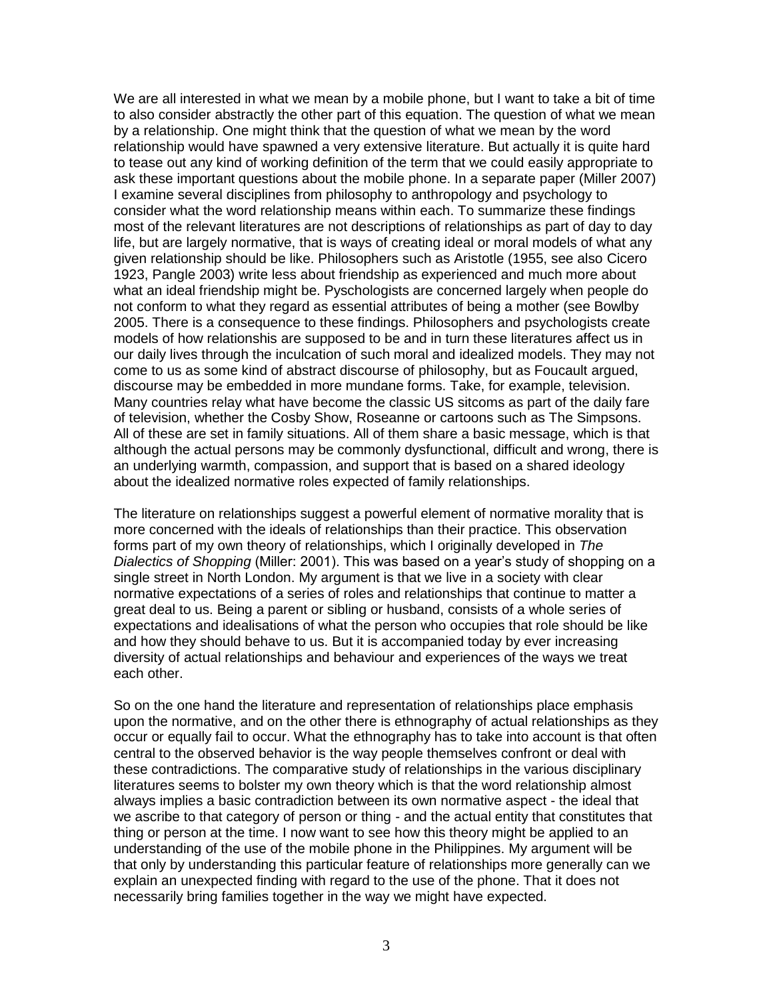We are all interested in what we mean by a mobile phone, but I want to take a bit of time to also consider abstractly the other part of this equation. The question of what we mean by a relationship. One might think that the question of what we mean by the word relationship would have spawned a very extensive literature. But actually it is quite hard to tease out any kind of working definition of the term that we could easily appropriate to ask these important questions about the mobile phone. In a separate paper (Miller 2007) I examine several disciplines from philosophy to anthropology and psychology to consider what the word relationship means within each. To summarize these findings most of the relevant literatures are not descriptions of relationships as part of day to day life, but are largely normative, that is ways of creating ideal or moral models of what any given relationship should be like. Philosophers such as Aristotle (1955, see also Cicero 1923, Pangle 2003) write less about friendship as experienced and much more about what an ideal friendship might be. Pyschologists are concerned largely when people do not conform to what they regard as essential attributes of being a mother (see Bowlby 2005. There is a consequence to these findings. Philosophers and psychologists create models of how relationshis are supposed to be and in turn these literatures affect us in our daily lives through the inculcation of such moral and idealized models. They may not come to us as some kind of abstract discourse of philosophy, but as Foucault argued, discourse may be embedded in more mundane forms. Take, for example, television. Many countries relay what have become the classic US sitcoms as part of the daily fare of television, whether the Cosby Show, Roseanne or cartoons such as The Simpsons. All of these are set in family situations. All of them share a basic message, which is that although the actual persons may be commonly dysfunctional, difficult and wrong, there is an underlying warmth, compassion, and support that is based on a shared ideology about the idealized normative roles expected of family relationships.

The literature on relationships suggest a powerful element of normative morality that is more concerned with the ideals of relationships than their practice. This observation forms part of my own theory of relationships, which I originally developed in *The Dialectics of Shopping* (Miller: 2001). This was based on a year's study of shopping on a single street in North London. My argument is that we live in a society with clear normative expectations of a series of roles and relationships that continue to matter a great deal to us. Being a parent or sibling or husband, consists of a whole series of expectations and idealisations of what the person who occupies that role should be like and how they should behave to us. But it is accompanied today by ever increasing diversity of actual relationships and behaviour and experiences of the ways we treat each other.

So on the one hand the literature and representation of relationships place emphasis upon the normative, and on the other there is ethnography of actual relationships as they occur or equally fail to occur. What the ethnography has to take into account is that often central to the observed behavior is the way people themselves confront or deal with these contradictions. The comparative study of relationships in the various disciplinary literatures seems to bolster my own theory which is that the word relationship almost always implies a basic contradiction between its own normative aspect - the ideal that we ascribe to that category of person or thing - and the actual entity that constitutes that thing or person at the time. I now want to see how this theory might be applied to an understanding of the use of the mobile phone in the Philippines. My argument will be that only by understanding this particular feature of relationships more generally can we explain an unexpected finding with regard to the use of the phone. That it does not necessarily bring families together in the way we might have expected.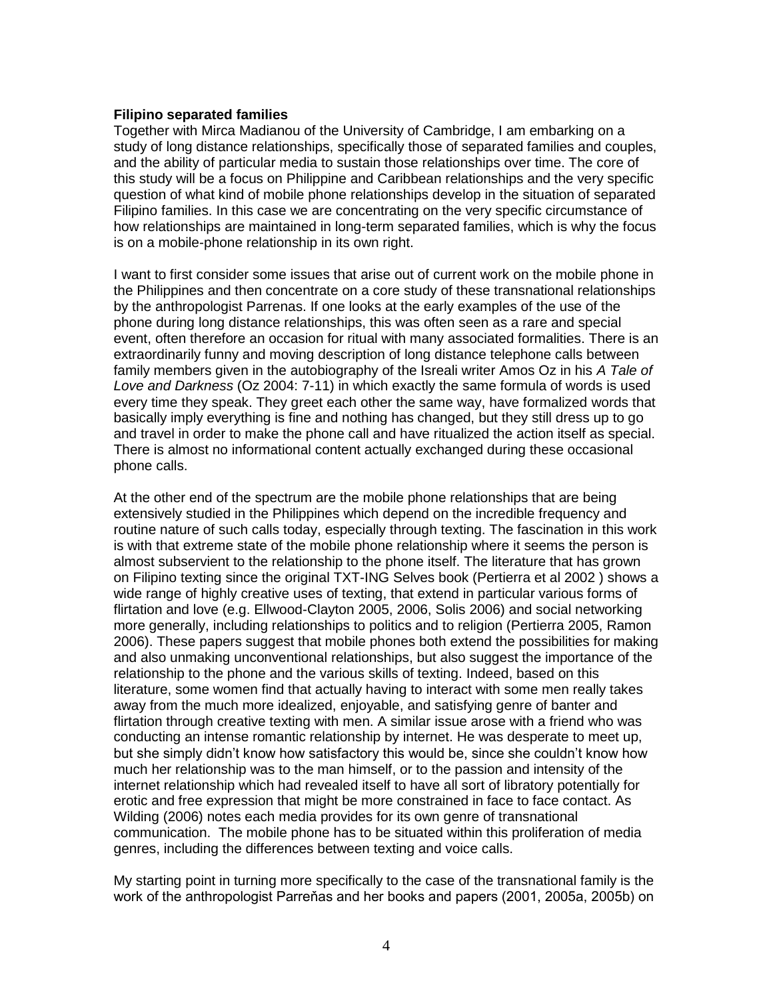#### **Filipino separated families**

Together with Mirca Madianou of the University of Cambridge, I am embarking on a study of long distance relationships, specifically those of separated families and couples, and the ability of particular media to sustain those relationships over time. The core of this study will be a focus on Philippine and Caribbean relationships and the very specific question of what kind of mobile phone relationships develop in the situation of separated Filipino families. In this case we are concentrating on the very specific circumstance of how relationships are maintained in long-term separated families, which is why the focus is on a mobile-phone relationship in its own right.

I want to first consider some issues that arise out of current work on the mobile phone in the Philippines and then concentrate on a core study of these transnational relationships by the anthropologist Parrenas. If one looks at the early examples of the use of the phone during long distance relationships, this was often seen as a rare and special event, often therefore an occasion for ritual with many associated formalities. There is an extraordinarily funny and moving description of long distance telephone calls between family members given in the autobiography of the Isreali writer Amos Oz in his *A Tale of Love and Darkness* (Oz 2004: 7-11) in which exactly the same formula of words is used every time they speak. They greet each other the same way, have formalized words that basically imply everything is fine and nothing has changed, but they still dress up to go and travel in order to make the phone call and have ritualized the action itself as special. There is almost no informational content actually exchanged during these occasional phone calls.

At the other end of the spectrum are the mobile phone relationships that are being extensively studied in the Philippines which depend on the incredible frequency and routine nature of such calls today, especially through texting. The fascination in this work is with that extreme state of the mobile phone relationship where it seems the person is almost subservient to the relationship to the phone itself. The literature that has grown on Filipino texting since the original TXT-ING Selves book (Pertierra et al 2002 ) shows a wide range of highly creative uses of texting, that extend in particular various forms of flirtation and love (e.g. Ellwood-Clayton 2005, 2006, Solis 2006) and social networking more generally, including relationships to politics and to religion (Pertierra 2005, Ramon 2006). These papers suggest that mobile phones both extend the possibilities for making and also unmaking unconventional relationships, but also suggest the importance of the relationship to the phone and the various skills of texting. Indeed, based on this literature, some women find that actually having to interact with some men really takes away from the much more idealized, enjoyable, and satisfying genre of banter and flirtation through creative texting with men. A similar issue arose with a friend who was conducting an intense romantic relationship by internet. He was desperate to meet up, but she simply didn't know how satisfactory this would be, since she couldn't know how much her relationship was to the man himself, or to the passion and intensity of the internet relationship which had revealed itself to have all sort of libratory potentially for erotic and free expression that might be more constrained in face to face contact. As Wilding (2006) notes each media provides for its own genre of transnational communication. The mobile phone has to be situated within this proliferation of media genres, including the differences between texting and voice calls.

My starting point in turning more specifically to the case of the transnational family is the work of the anthropologist Parreňas and her books and papers (2001, 2005a, 2005b) on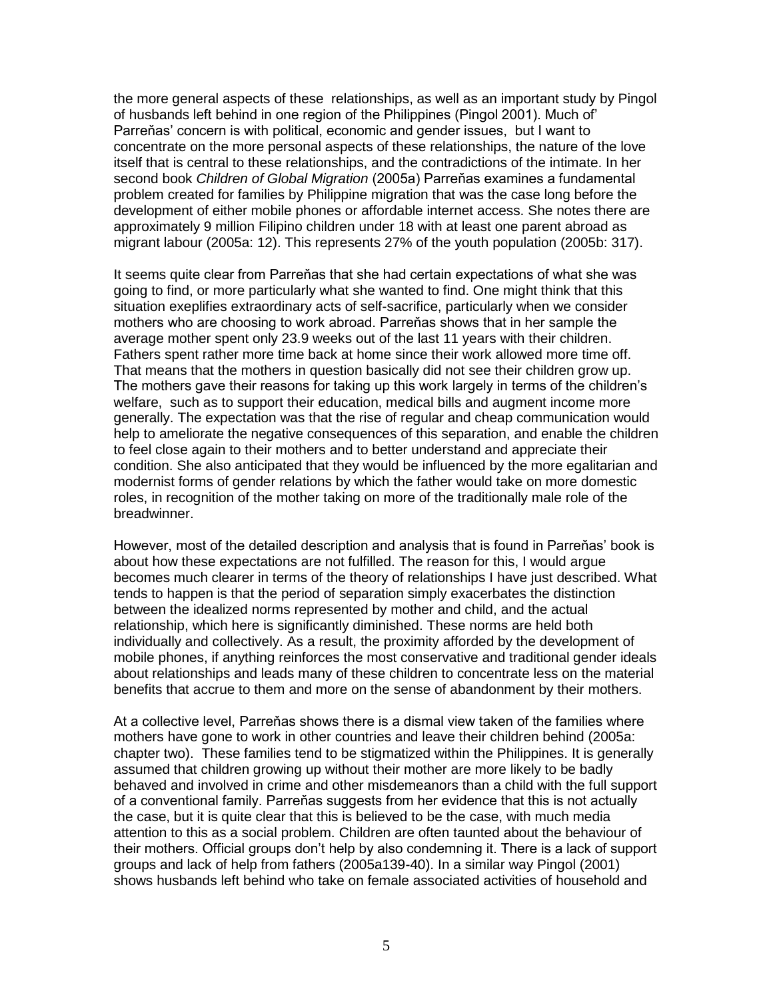the more general aspects of these relationships, as well as an important study by Pingol of husbands left behind in one region of the Philippines (Pingol 2001). Much of' Parreňas' concern is with political, economic and gender issues, but I want to concentrate on the more personal aspects of these relationships, the nature of the love itself that is central to these relationships, and the contradictions of the intimate. In her second book *Children of Global Migration* (2005a) Parreňas examines a fundamental problem created for families by Philippine migration that was the case long before the development of either mobile phones or affordable internet access. She notes there are approximately 9 million Filipino children under 18 with at least one parent abroad as migrant labour (2005a: 12). This represents 27% of the youth population (2005b: 317).

It seems quite clear from Parreňas that she had certain expectations of what she was going to find, or more particularly what she wanted to find. One might think that this situation exeplifies extraordinary acts of self-sacrifice, particularly when we consider mothers who are choosing to work abroad. Parreňas shows that in her sample the average mother spent only 23.9 weeks out of the last 11 years with their children. Fathers spent rather more time back at home since their work allowed more time off. That means that the mothers in question basically did not see their children grow up. The mothers gave their reasons for taking up this work largely in terms of the children's welfare, such as to support their education, medical bills and augment income more generally. The expectation was that the rise of regular and cheap communication would help to ameliorate the negative consequences of this separation, and enable the children to feel close again to their mothers and to better understand and appreciate their condition. She also anticipated that they would be influenced by the more egalitarian and modernist forms of gender relations by which the father would take on more domestic roles, in recognition of the mother taking on more of the traditionally male role of the breadwinner.

However, most of the detailed description and analysis that is found in Parreňas' book is about how these expectations are not fulfilled. The reason for this, I would argue becomes much clearer in terms of the theory of relationships I have just described. What tends to happen is that the period of separation simply exacerbates the distinction between the idealized norms represented by mother and child, and the actual relationship, which here is significantly diminished. These norms are held both individually and collectively. As a result, the proximity afforded by the development of mobile phones, if anything reinforces the most conservative and traditional gender ideals about relationships and leads many of these children to concentrate less on the material benefits that accrue to them and more on the sense of abandonment by their mothers.

At a collective level, Parreňas shows there is a dismal view taken of the families where mothers have gone to work in other countries and leave their children behind (2005a: chapter two). These families tend to be stigmatized within the Philippines. It is generally assumed that children growing up without their mother are more likely to be badly behaved and involved in crime and other misdemeanors than a child with the full support of a conventional family. Parreňas suggests from her evidence that this is not actually the case, but it is quite clear that this is believed to be the case, with much media attention to this as a social problem. Children are often taunted about the behaviour of their mothers. Official groups don't help by also condemning it. There is a lack of support groups and lack of help from fathers (2005a139-40). In a similar way Pingol (2001) shows husbands left behind who take on female associated activities of household and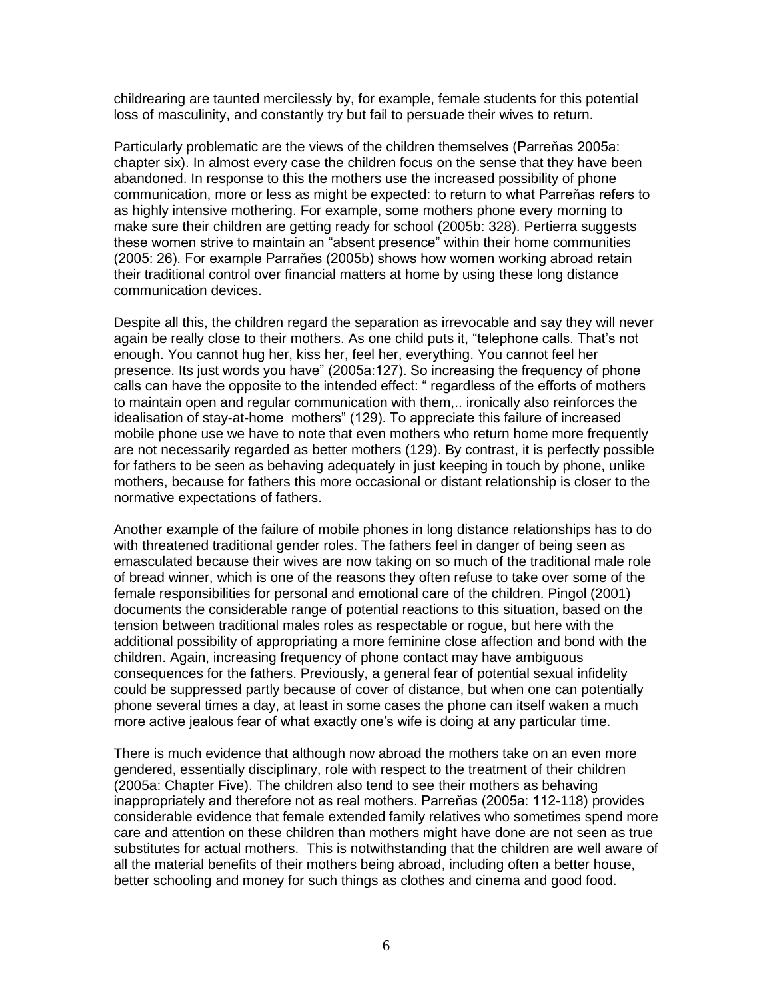childrearing are taunted mercilessly by, for example, female students for this potential loss of masculinity, and constantly try but fail to persuade their wives to return.

Particularly problematic are the views of the children themselves (Parreňas 2005a: chapter six). In almost every case the children focus on the sense that they have been abandoned. In response to this the mothers use the increased possibility of phone communication, more or less as might be expected: to return to what Parreňas refers to as highly intensive mothering. For example, some mothers phone every morning to make sure their children are getting ready for school (2005b: 328). Pertierra suggests these women strive to maintain an "absent presence" within their home communities (2005: 26). For example Parraňes (2005b) shows how women working abroad retain their traditional control over financial matters at home by using these long distance communication devices.

Despite all this, the children regard the separation as irrevocable and say they will never again be really close to their mothers. As one child puts it, "telephone calls. That's not enough. You cannot hug her, kiss her, feel her, everything. You cannot feel her presence. Its just words you have" (2005a:127). So increasing the frequency of phone calls can have the opposite to the intended effect: " regardless of the efforts of mothers to maintain open and regular communication with them,.. ironically also reinforces the idealisation of stay-at-home mothers" (129). To appreciate this failure of increased mobile phone use we have to note that even mothers who return home more frequently are not necessarily regarded as better mothers (129). By contrast, it is perfectly possible for fathers to be seen as behaving adequately in just keeping in touch by phone, unlike mothers, because for fathers this more occasional or distant relationship is closer to the normative expectations of fathers.

Another example of the failure of mobile phones in long distance relationships has to do with threatened traditional gender roles. The fathers feel in danger of being seen as emasculated because their wives are now taking on so much of the traditional male role of bread winner, which is one of the reasons they often refuse to take over some of the female responsibilities for personal and emotional care of the children. Pingol (2001) documents the considerable range of potential reactions to this situation, based on the tension between traditional males roles as respectable or rogue, but here with the additional possibility of appropriating a more feminine close affection and bond with the children. Again, increasing frequency of phone contact may have ambiguous consequences for the fathers. Previously, a general fear of potential sexual infidelity could be suppressed partly because of cover of distance, but when one can potentially phone several times a day, at least in some cases the phone can itself waken a much more active jealous fear of what exactly one's wife is doing at any particular time.

There is much evidence that although now abroad the mothers take on an even more gendered, essentially disciplinary, role with respect to the treatment of their children (2005a: Chapter Five). The children also tend to see their mothers as behaving inappropriately and therefore not as real mothers. Parreňas (2005a: 112-118) provides considerable evidence that female extended family relatives who sometimes spend more care and attention on these children than mothers might have done are not seen as true substitutes for actual mothers. This is notwithstanding that the children are well aware of all the material benefits of their mothers being abroad, including often a better house, better schooling and money for such things as clothes and cinema and good food.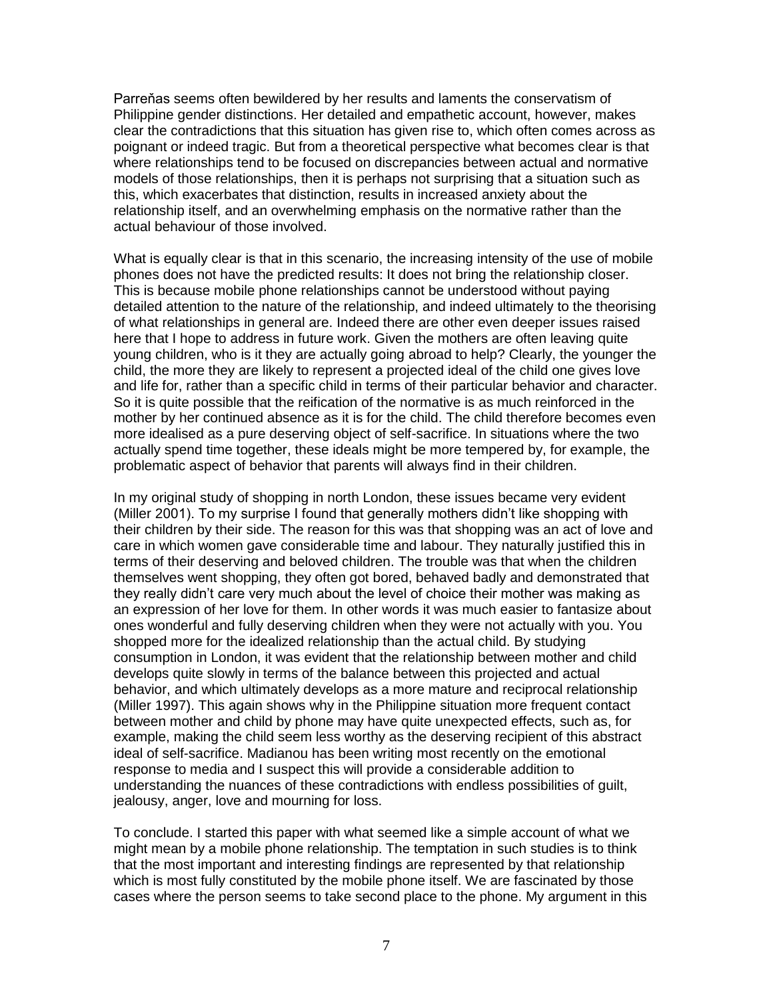Parreňas seems often bewildered by her results and laments the conservatism of Philippine gender distinctions. Her detailed and empathetic account, however, makes clear the contradictions that this situation has given rise to, which often comes across as poignant or indeed tragic. But from a theoretical perspective what becomes clear is that where relationships tend to be focused on discrepancies between actual and normative models of those relationships, then it is perhaps not surprising that a situation such as this, which exacerbates that distinction, results in increased anxiety about the relationship itself, and an overwhelming emphasis on the normative rather than the actual behaviour of those involved.

What is equally clear is that in this scenario, the increasing intensity of the use of mobile phones does not have the predicted results: It does not bring the relationship closer. This is because mobile phone relationships cannot be understood without paying detailed attention to the nature of the relationship, and indeed ultimately to the theorising of what relationships in general are. Indeed there are other even deeper issues raised here that I hope to address in future work. Given the mothers are often leaving quite young children, who is it they are actually going abroad to help? Clearly, the younger the child, the more they are likely to represent a projected ideal of the child one gives love and life for, rather than a specific child in terms of their particular behavior and character. So it is quite possible that the reification of the normative is as much reinforced in the mother by her continued absence as it is for the child. The child therefore becomes even more idealised as a pure deserving object of self-sacrifice. In situations where the two actually spend time together, these ideals might be more tempered by, for example, the problematic aspect of behavior that parents will always find in their children.

In my original study of shopping in north London, these issues became very evident (Miller 2001). To my surprise I found that generally mothers didn't like shopping with their children by their side. The reason for this was that shopping was an act of love and care in which women gave considerable time and labour. They naturally justified this in terms of their deserving and beloved children. The trouble was that when the children themselves went shopping, they often got bored, behaved badly and demonstrated that they really didn't care very much about the level of choice their mother was making as an expression of her love for them. In other words it was much easier to fantasize about ones wonderful and fully deserving children when they were not actually with you. You shopped more for the idealized relationship than the actual child. By studying consumption in London, it was evident that the relationship between mother and child develops quite slowly in terms of the balance between this projected and actual behavior, and which ultimately develops as a more mature and reciprocal relationship (Miller 1997). This again shows why in the Philippine situation more frequent contact between mother and child by phone may have quite unexpected effects, such as, for example, making the child seem less worthy as the deserving recipient of this abstract ideal of self-sacrifice. Madianou has been writing most recently on the emotional response to media and I suspect this will provide a considerable addition to understanding the nuances of these contradictions with endless possibilities of guilt, jealousy, anger, love and mourning for loss.

To conclude. I started this paper with what seemed like a simple account of what we might mean by a mobile phone relationship. The temptation in such studies is to think that the most important and interesting findings are represented by that relationship which is most fully constituted by the mobile phone itself. We are fascinated by those cases where the person seems to take second place to the phone. My argument in this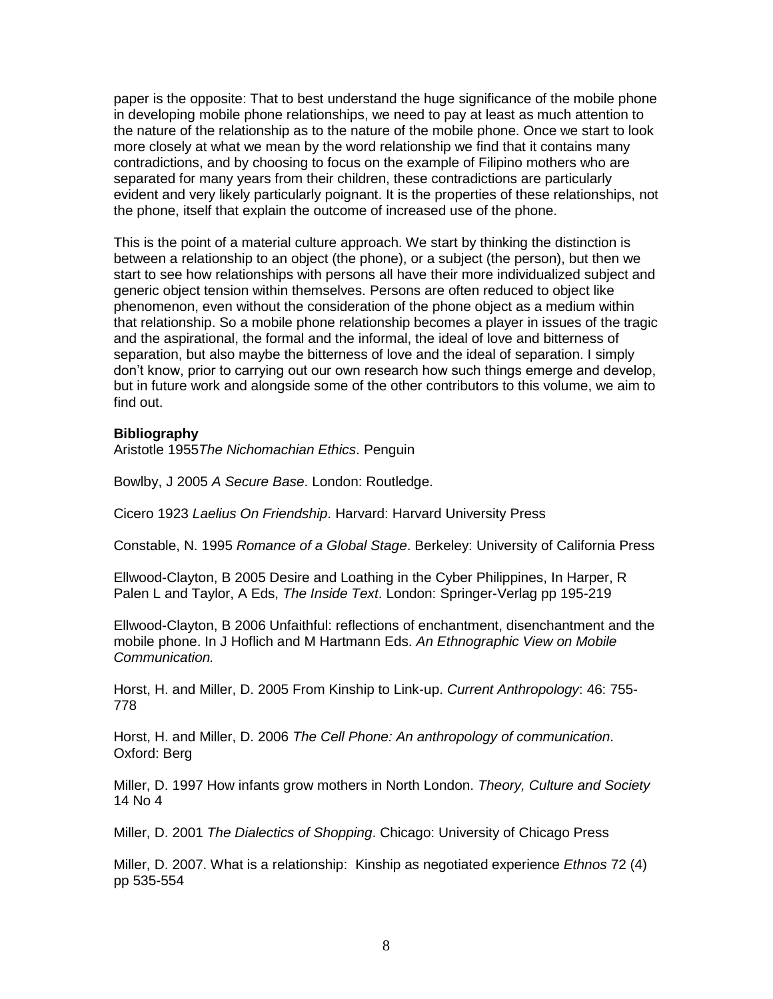paper is the opposite: That to best understand the huge significance of the mobile phone in developing mobile phone relationships, we need to pay at least as much attention to the nature of the relationship as to the nature of the mobile phone. Once we start to look more closely at what we mean by the word relationship we find that it contains many contradictions, and by choosing to focus on the example of Filipino mothers who are separated for many years from their children, these contradictions are particularly evident and very likely particularly poignant. It is the properties of these relationships, not the phone, itself that explain the outcome of increased use of the phone.

This is the point of a material culture approach. We start by thinking the distinction is between a relationship to an object (the phone), or a subject (the person), but then we start to see how relationships with persons all have their more individualized subject and generic object tension within themselves. Persons are often reduced to object like phenomenon, even without the consideration of the phone object as a medium within that relationship. So a mobile phone relationship becomes a player in issues of the tragic and the aspirational, the formal and the informal, the ideal of love and bitterness of separation, but also maybe the bitterness of love and the ideal of separation. I simply don't know, prior to carrying out our own research how such things emerge and develop, but in future work and alongside some of the other contributors to this volume, we aim to find out.

## **Bibliography**

Aristotle 1955*The Nichomachian Ethics*. Penguin

Bowlby, J 2005 *A Secure Base*. London: Routledge.

Cicero 1923 *Laelius On Friendship*. Harvard: Harvard University Press

Constable, N. 1995 *Romance of a Global Stage*. Berkeley: University of California Press

Ellwood-Clayton, B 2005 Desire and Loathing in the Cyber Philippines, In Harper, R Palen L and Taylor, A Eds, *The Inside Text*. London: Springer-Verlag pp 195-219

Ellwood-Clayton, B 2006 Unfaithful: reflections of enchantment, disenchantment and the mobile phone. In J Hoflich and M Hartmann Eds. *An Ethnographic View on Mobile Communication.* 

Horst, H. and Miller, D. 2005 From Kinship to Link-up. *Current Anthropology*: 46: 755- 778

Horst, H. and Miller, D. 2006 *The Cell Phone: An anthropology of communication*. Oxford: Berg

Miller, D. 1997 How infants grow mothers in North London. *Theory, Culture and Society*  14 No 4

Miller, D. 2001 *The Dialectics of Shopping*. Chicago: University of Chicago Press

Miller, D. 2007. What is a relationship: Kinship as negotiated experience *Ethnos* 72 (4) pp 535-554